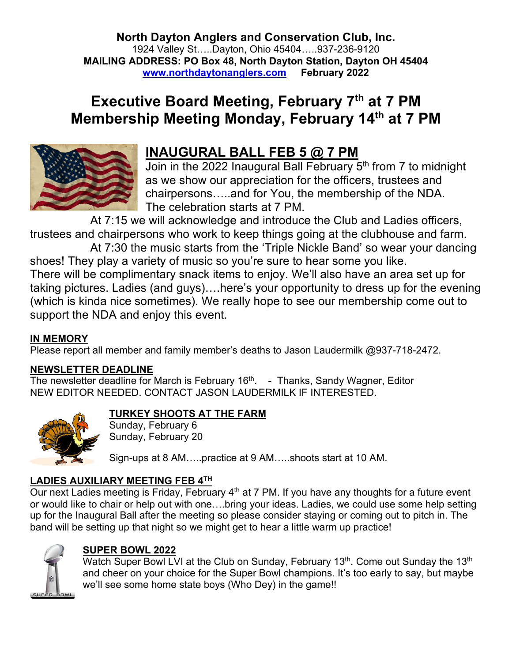**North Dayton Anglers and Conservation Club, Inc.** 1924 Valley St…..Dayton, Ohio 45404…..937-236-9120 **MAILING ADDRESS: PO Box 48, North Dayton Station, Dayton OH 45404 www.northdaytonanglers.com February 2022**

# **Executive Board Meeting, February 7th at 7 PM Membership Meeting Monday, February 14th at 7 PM**



## **INAUGURAL BALL FEB 5 @ 7 PM**

Join in the 2022 Inaugural Ball February 5<sup>th</sup> from 7 to midnight as we show our appreciation for the officers, trustees and chairpersons…..and for You, the membership of the NDA. The celebration starts at 7 PM.

At 7:15 we will acknowledge and introduce the Club and Ladies officers, trustees and chairpersons who work to keep things going at the clubhouse and farm.

At 7:30 the music starts from the 'Triple Nickle Band' so wear your dancing shoes! They play a variety of music so you're sure to hear some you like. There will be complimentary snack items to enjoy. We'll also have an area set up for taking pictures. Ladies (and guys)….here's your opportunity to dress up for the evening (which is kinda nice sometimes). We really hope to see our membership come out to support the NDA and enjoy this event.

## **IN MEMORY**

Please report all member and family member's deaths to Jason Laudermilk @937-718-2472.

## **NEWSLETTER DEADLINE**

The newsletter deadline for March is February 16<sup>th</sup>. - Thanks, Sandy Wagner, Editor NEW EDITOR NEEDED. CONTACT JASON LAUDERMILK IF INTERESTED.



## **TURKEY SHOOTS AT THE FARM**

Sunday, February 6 Sunday, February 20

Sign-ups at 8 AM…..practice at 9 AM…..shoots start at 10 AM.

## **LADIES AUXILIARY MEETING FEB 4TH**

Our next Ladies meeting is Friday, February  $4<sup>th</sup>$  at 7 PM. If you have any thoughts for a future event or would like to chair or help out with one….bring your ideas. Ladies, we could use some help setting up for the Inaugural Ball after the meeting so please consider staying or coming out to pitch in. The band will be setting up that night so we might get to hear a little warm up practice!



## **SUPER BOWL 2022**

Watch Super Bowl LVI at the Club on Sunday, February 13<sup>th</sup>. Come out Sunday the 13<sup>th</sup> and cheer on your choice for the Super Bowl champions. It's too early to say, but maybe we'll see some home state boys (Who Dey) in the game!!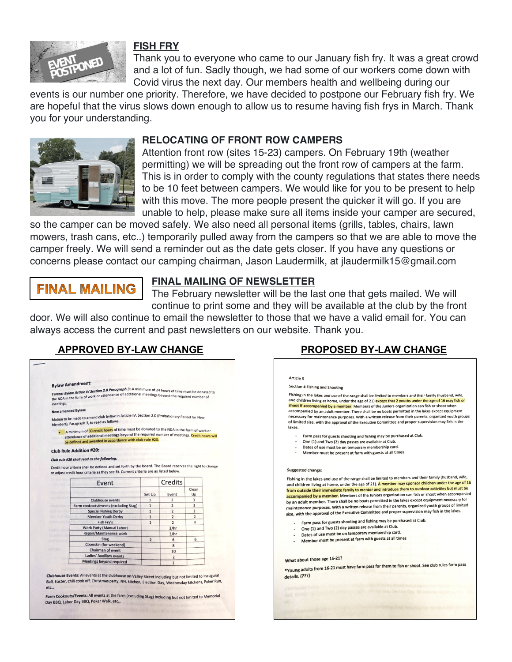

#### **FISH FRY**

Thank you to everyone who came to our January fish fry. It was a great crowd and a lot of fun. Sadly though, we had some of our workers come down with Covid virus the next day. Our members health and wellbeing during our

events is our number one priority. Therefore, we have decided to postpone our February fish fry. We are hopeful that the virus slows down enough to allow us to resume having fish frys in March. Thank you for your understanding.



## **RELOCATING OF FRONT ROW CAMPERS**

Attention front row (sites 15-23) campers. On February 19th (weather permitting) we will be spreading out the front row of campers at the farm. This is in order to comply with the county regulations that states there needs to be 10 feet between campers. We would like for you to be present to help with this move. The more people present the quicker it will go. If you are unable to help, please make sure all items inside your camper are secured,

so the camper can be moved safely. We also need all personal items (grills, tables, chairs, lawn mowers, trash cans, etc..) temporarily pulled away from the campers so that we are able to move the camper freely. We will send a reminder out as the date gets closer. If you have any questions or concerns please contact our camping chairman, Jason Laudermilk, at jlaudermilk15@gmail.com

## **FINAL MAILING**

## **FINAL MAILING OF NEWSLETTER**

The February newsletter will be the last one that gets mailed. We will continue to print some and they will be available at the club by the front

door. We will also continue to email the newsletter to those that we have a valid email for. You can always access the current and past newsletters on our website. Thank you.

## **APPROVED BY-LAW CHANGE PROPOSED BY-LAW CHANGE**

|              | <b>Bylaw Amendment:</b>                                                                                                                                                                                                                           |                |                |                |
|--------------|---------------------------------------------------------------------------------------------------------------------------------------------------------------------------------------------------------------------------------------------------|----------------|----------------|----------------|
| meetings.    | Current Bylaw Article IV Section 2.0 Paragraph 3: A minimum of 24 hours of time must be donated to<br>Current Bylaw Article is a set of a tendance of additional meetings beyond the required number of                                           |                |                |                |
|              | New amended Bylaw:                                                                                                                                                                                                                                |                |                |                |
|              | Motion to be made to amend club bylaw in Article IV, Section 2.0 (Probationary Period for New<br>Members), Paragraph 3, to read as follows.                                                                                                       |                |                |                |
|              | A minimum of 30 credit hours of time must be donated to the NDA in the form of work or<br>attendance of additional meetings beyond the required number of meetings. Credit hours will<br>be defined and awarded in accordance with club rule #20. |                |                |                |
|              | <b>Club Rule Addition #20:</b>                                                                                                                                                                                                                    |                |                |                |
|              |                                                                                                                                                                                                                                                   |                |                |                |
|              | Club rule #20 shall read as the following:                                                                                                                                                                                                        |                |                |                |
|              | Credit hour criteria shall be defined and set forth by the board. The Board reserves the right to change<br>or adjust credit hour criteria as they see fit. Current criteria are as listed below.                                                 |                |                |                |
|              | Event                                                                                                                                                                                                                                             |                | Credits        |                |
|              |                                                                                                                                                                                                                                                   |                |                | Clean          |
|              |                                                                                                                                                                                                                                                   | Set Up         | Event          | Up             |
|              | <b>Clubhouse events</b>                                                                                                                                                                                                                           | $\mathbf{1}$   | $\overline{2}$ | 3              |
|              | Farm cookouts/events (excluding Stag)                                                                                                                                                                                                             | $\mathbf{1}$   | $\overline{2}$ | 3              |
|              | <b>Special Fishing Derby</b>                                                                                                                                                                                                                      | $\mathbf{1}$   | $\overline{2}$ | $\overline{2}$ |
|              | <b>Member Youth Derby</b>                                                                                                                                                                                                                         | $\mathbf{1}$   | $\overline{2}$ | $\overline{2}$ |
|              | Fish Fry's                                                                                                                                                                                                                                        | $\mathbf{1}$   | $\overline{2}$ | $\Delta$       |
|              | <b>Work Party (Manual Labor)</b>                                                                                                                                                                                                                  |                | 3/hr           |                |
|              | Repair/Maintenance work                                                                                                                                                                                                                           |                | 3/hr           |                |
|              | <b>Stag</b>                                                                                                                                                                                                                                       | $\overline{2}$ | 6              | 6              |
|              | Coonskin (for weekend)                                                                                                                                                                                                                            |                | 8              |                |
| <b>VOTES</b> | Chairman of event                                                                                                                                                                                                                                 |                | 10             |                |
|              | Ladies' Auxiliary events                                                                                                                                                                                                                          |                | $\overline{2}$ |                |
|              | <b>Meetings beyond required</b>                                                                                                                                                                                                                   |                | $\mathbf{1}$   |                |
|              |                                                                                                                                                                                                                                                   |                |                |                |
|              |                                                                                                                                                                                                                                                   |                |                |                |
|              |                                                                                                                                                                                                                                                   |                |                |                |
|              | Clubhouse Events: All events at the clubhouse on Valley Street including but not limited to Inaugural                                                                                                                                             |                |                |                |
| etc          | Ball, Easter, chili cook off, Christmas party, NFL kitchen, Election Day, Wednesday kitchens, Poker Run,                                                                                                                                          |                |                |                |

#### **Article X** Section 4 Fishing and Shooting Fishing in the lakes and use of the range shall be limited to members and their family (husband, wife and children living at home, under the age of 21) except that 2 youths under the age of 16 may fish or<br>Shoot if accompanied by a member. Members of the Juniors organization can fish or shoot when accompanied by an adult member. There shall be no boats permitted in the lakes except equipment necessary for maintenance purposes. With a written release from their parents, organized youth groups<br>of limited size, with the approval of the Executive Committee and proper supervision may fish in the lakes. - Farm pass for guests shooting and fishing may be purchased at Club. One (1) and Two (2) day passes are available at Club. Dates of use must be on temporary membership card. Member must be present at farm with guests at all times Suggested change: Fishing in the lakes and use of the range shall be limited to members and their family (husband, wife, and children living at home, under the age of 21). A member may sponsor children under the age of 16<br>and children living at home, under the age of 21). A member may sponsor children under the age of 16 from outside their immediate family to mentor and introduce them to outdoor activities but must be accompanied by a member. Members of the Juniors organization can fish or shoot when accompanied<br>accompanied by a member. Members of the Juniors organization can fish or shoot when accompanied by an adult member. There shall be no boats permitted in the lakes except equipment necessary for by an adult member. There shall be no boats permitted in the lands disciple a quality and solution of limited<br>maintenance purposes. With a written release from their parents, organized youth groups of limited size, with the approval of the Executive Committee and proper supervision may fish in the lakes. Farm pass for guests shooting and fishing may be purchased at Club. One (1) and Two (2) day passes are available at Club. Dates of use must be on temporary membership card. Dates of use must be on temporary memorially be a What about those age 16-21? What about those age 10-211<br>\*Young adults from 16-21 must have farm pass for them to fish or shoot. See club rules farm pass details. (???)